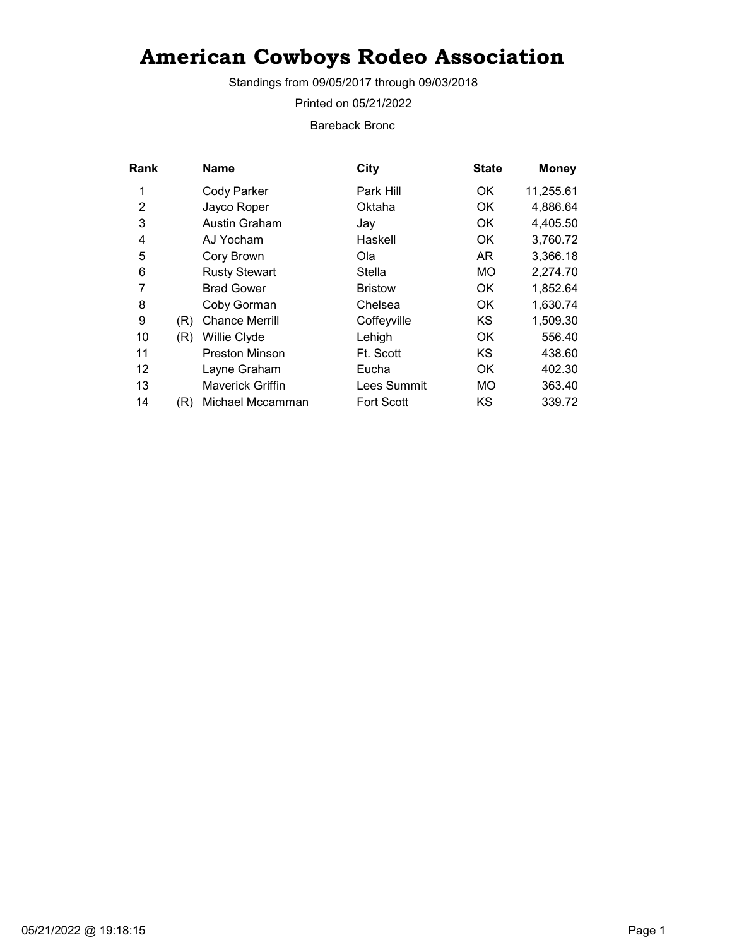Standings from 09/05/2017 through 09/03/2018

Printed on 05/21/2022

Bareback Bronc

| Rank |     | <b>Name</b>             | City              | <b>State</b> | <b>Money</b> |
|------|-----|-------------------------|-------------------|--------------|--------------|
| 1    |     | Cody Parker             | Park Hill         | OK           | 11,255.61    |
| 2    |     | Jayco Roper             | Oktaha            | OK           | 4,886.64     |
| 3    |     | Austin Graham           | Jay               | OK           | 4,405.50     |
| 4    |     | AJ Yocham               | Haskell           | OK.          | 3,760.72     |
| 5    |     | Cory Brown              | Ola.              | AR.          | 3,366.18     |
| 6    |     | <b>Rusty Stewart</b>    | Stella            | <b>MO</b>    | 2,274.70     |
| 7    |     | <b>Brad Gower</b>       | <b>Bristow</b>    | OK.          | 1,852.64     |
| 8    |     | Coby Gorman             | Chelsea           | OK.          | 1,630.74     |
| 9    | (R) | <b>Chance Merrill</b>   | Coffeyville       | KS           | 1,509.30     |
| 10   | (R) | Willie Clyde            | Lehigh            | 0K           | 556.40       |
| 11   |     | <b>Preston Minson</b>   | Ft. Scott         | KS           | 438.60       |
| 12   |     | Layne Graham            | Eucha             | OK.          | 402.30       |
| 13   |     | <b>Maverick Griffin</b> | Lees Summit       | <b>MO</b>    | 363.40       |
| 14   | (R) | Michael Mccamman        | <b>Fort Scott</b> | KS           | 339.72       |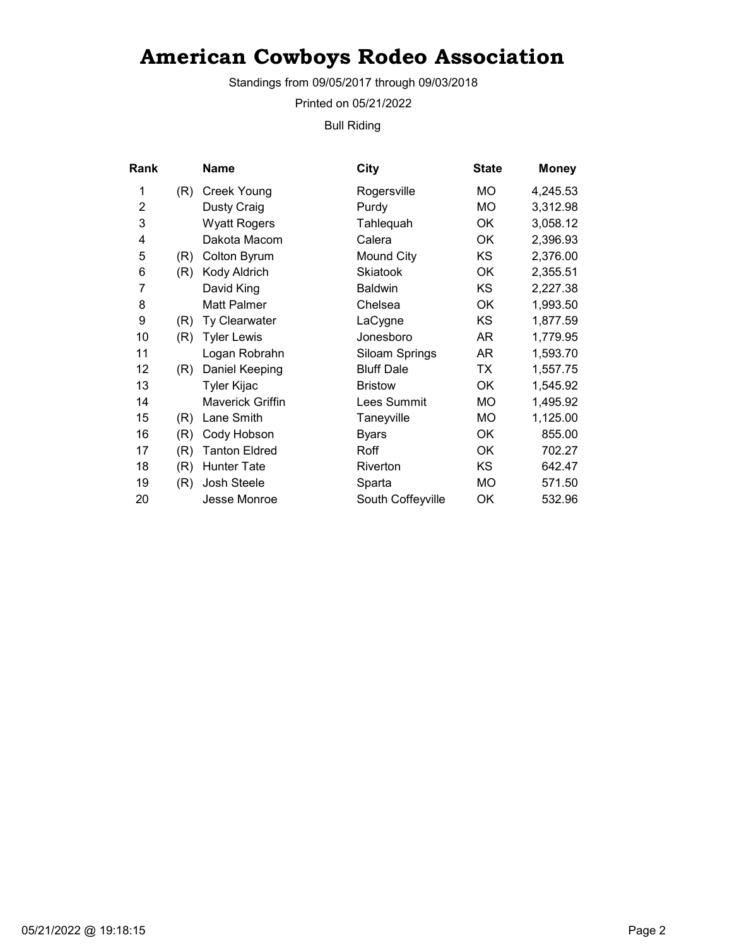Standings from 09/05/2017 through 09/03/2018

Printed on 05/21/2022

Bull Riding

| Rank           |     | Name                    | City              | <b>State</b> | <b>Money</b> |
|----------------|-----|-------------------------|-------------------|--------------|--------------|
| 1              | (R) | <b>Creek Young</b>      | Rogersville       | МO           | 4,245.53     |
| $\overline{2}$ |     | Dusty Craig             | Purdy             | MO           | 3,312.98     |
| 3              |     | <b>Wyatt Rogers</b>     | Tahlequah         | OK           | 3,058.12     |
| 4              |     | Dakota Macom            | Calera            | OK           | 2,396.93     |
| 5              | (R) | <b>Colton Byrum</b>     | Mound City        | KS           | 2,376.00     |
| 6              | (R) | Kody Aldrich            | <b>Skiatook</b>   | OK           | 2,355.51     |
| 7              |     | David King              | <b>Baldwin</b>    | KS           | 2,227.38     |
| 8              |     | Matt Palmer             | Chelsea           | OK           | 1,993.50     |
| 9              | (R) | Ty Clearwater           | LaCygne           | KS           | 1,877.59     |
| 10             | (R) | <b>Tyler Lewis</b>      | Jonesboro         | AR           | 1,779.95     |
| 11             |     | Logan Robrahn           | Siloam Springs    | AR           | 1,593.70     |
| 12             | (R) | Daniel Keeping          | <b>Bluff Dale</b> | ТX           | 1,557.75     |
| 13             |     | Tyler Kijac             | <b>Bristow</b>    | OK           | 1,545.92     |
| 14             |     | <b>Maverick Griffin</b> | Lees Summit       | <b>MO</b>    | 1,495.92     |
| 15             | (R) | Lane Smith              | Taneyville        | MO           | 1,125.00     |
| 16             | (R) | Cody Hobson             | <b>Byars</b>      | 0K           | 855.00       |
| 17             | (R) | <b>Tanton Eldred</b>    | Roff              | OK           | 702.27       |
| 18             | (R) | <b>Hunter Tate</b>      | Riverton          | ΚS           | 642.47       |
| 19             | (R) | Josh Steele             | Sparta            | <b>MO</b>    | 571.50       |
| 20             |     | Jesse Monroe            | South Coffeyville | OK           | 532.96       |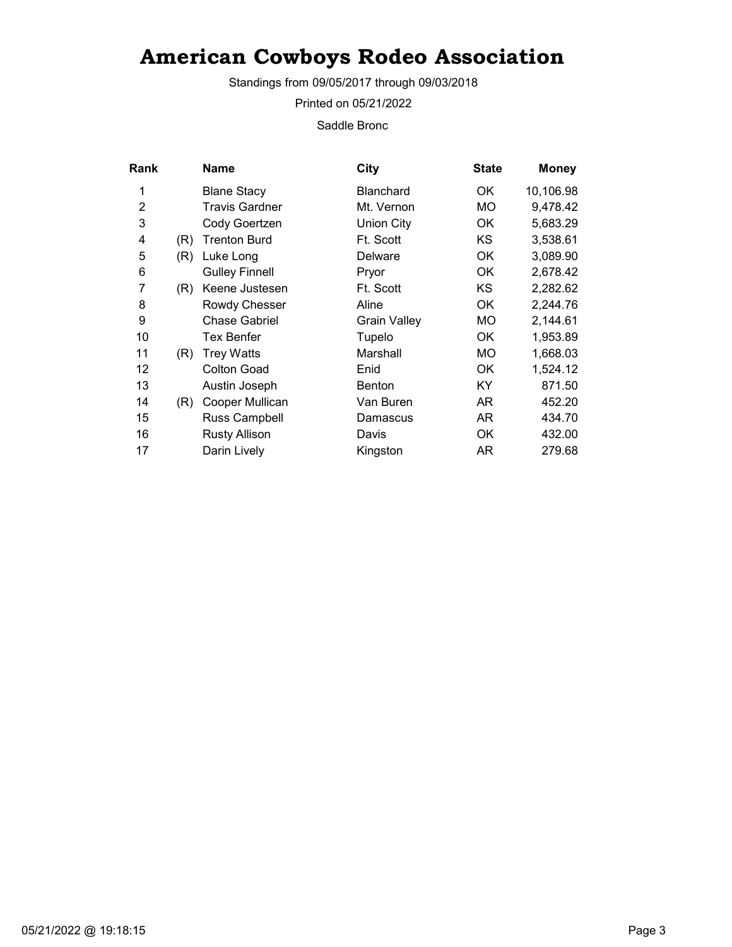Standings from 09/05/2017 through 09/03/2018

Printed on 05/21/2022

Saddle Bronc

| Rank |     | <b>Name</b>           | City                | <b>State</b> | <b>Money</b> |
|------|-----|-----------------------|---------------------|--------------|--------------|
| 1    |     | <b>Blane Stacy</b>    | <b>Blanchard</b>    | OK           | 10,106.98    |
| 2    |     | <b>Travis Gardner</b> | Mt. Vernon          | MO.          | 9,478.42     |
| 3    |     | Cody Goertzen         | <b>Union City</b>   | OK           | 5,683.29     |
| 4    | (R) | <b>Trenton Burd</b>   | Ft. Scott           | KS           | 3,538.61     |
| 5    | (R) | Luke Long             | Delware             | OK           | 3,089.90     |
| 6    |     | <b>Gulley Finnell</b> | Pryor               | ОK           | 2,678.42     |
| 7    | (R) | Keene Justesen        | Ft. Scott           | KS           | 2,282.62     |
| 8    |     | Rowdy Chesser         | Aline               | OK           | 2,244.76     |
| 9    |     | <b>Chase Gabriel</b>  | <b>Grain Valley</b> | MO.          | 2,144.61     |
| 10   |     | Tex Benfer            | Tupelo              | OK           | 1,953.89     |
| 11   | (R) | <b>Trey Watts</b>     | Marshall            | MO.          | 1,668.03     |
| 12   |     | <b>Colton Goad</b>    | Enid                | OK           | 1,524.12     |
| 13   |     | Austin Joseph         | <b>Benton</b>       | KY.          | 871.50       |
| 14   | (R) | Cooper Mullican       | Van Buren           | AR           | 452.20       |
| 15   |     | Russ Campbell         | Damascus            | AR.          | 434.70       |
| 16   |     | <b>Rusty Allison</b>  | Davis               | OK           | 432.00       |
| 17   |     | Darin Lively          | Kingston            | AR           | 279.68       |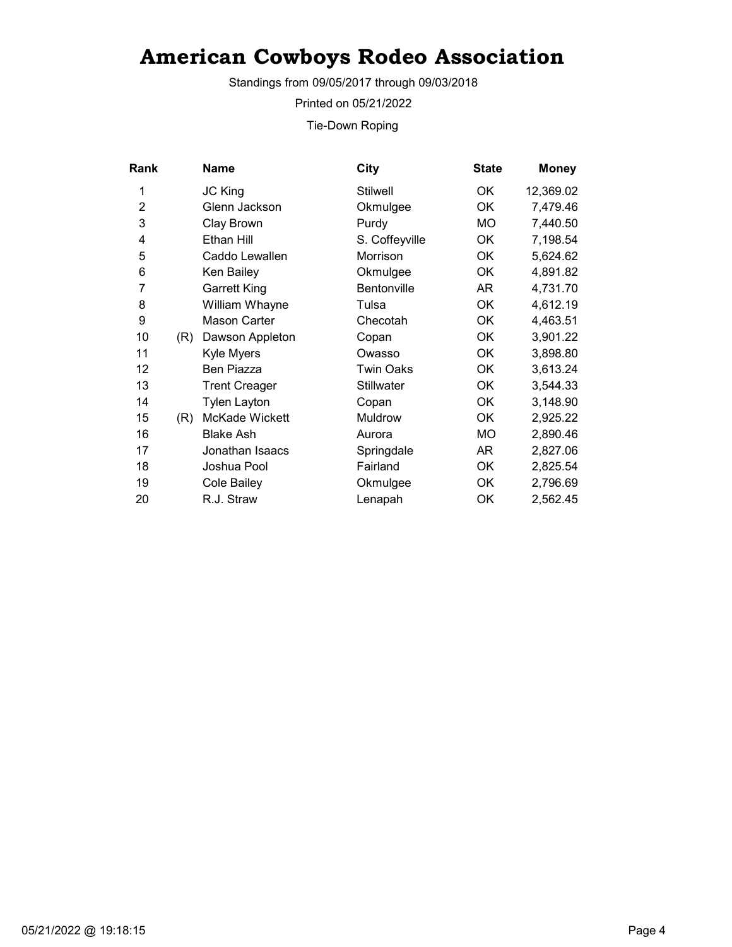Standings from 09/05/2017 through 09/03/2018

Printed on 05/21/2022

Tie-Down Roping

| Rank           |     | <b>Name</b>          | City             | <b>State</b> | <b>Money</b> |
|----------------|-----|----------------------|------------------|--------------|--------------|
| 1              |     | JC King              | <b>Stilwell</b>  | OK.          | 12,369.02    |
| $\overline{2}$ |     | Glenn Jackson        | Okmulgee         | OK           | 7,479.46     |
| 3              |     | Clay Brown           | Purdy            | МO           | 7,440.50     |
| 4              |     | Ethan Hill           | S. Coffeyville   | OK           | 7,198.54     |
| 5              |     | Caddo Lewallen       | Morrison         | ОK           | 5,624.62     |
| 6              |     | Ken Bailey           | Okmulgee         | OK           | 4,891.82     |
| 7              |     | <b>Garrett King</b>  | Bentonville      | AR           | 4,731.70     |
| 8              |     | William Whayne       | Tulsa            | <b>OK</b>    | 4,612.19     |
| 9              |     | Mason Carter         | Checotah         | OK           | 4,463.51     |
| 10             | (R) | Dawson Appleton      | Copan            | <b>OK</b>    | 3,901.22     |
| 11             |     | Kyle Myers           | Owasso           | OK           | 3,898.80     |
| 12             |     | Ben Piazza           | <b>Twin Oaks</b> | <b>OK</b>    | 3,613.24     |
| 13             |     | <b>Trent Creager</b> | Stillwater       | OK           | 3,544.33     |
| 14             |     | <b>Tylen Layton</b>  | Copan            | OK           | 3,148.90     |
| 15             | (R) | McKade Wickett       | Muldrow          | OK           | 2,925.22     |
| 16             |     | <b>Blake Ash</b>     | Aurora           | МO           | 2,890.46     |
| 17             |     | Jonathan Isaacs      | Springdale       | AR           | 2,827.06     |
| 18             |     | Joshua Pool          | Fairland         | ОK           | 2,825.54     |
| 19             |     | Cole Bailey          | Okmulgee         | OK           | 2,796.69     |
| 20             |     | R.J. Straw           | Lenapah          | OK           | 2,562.45     |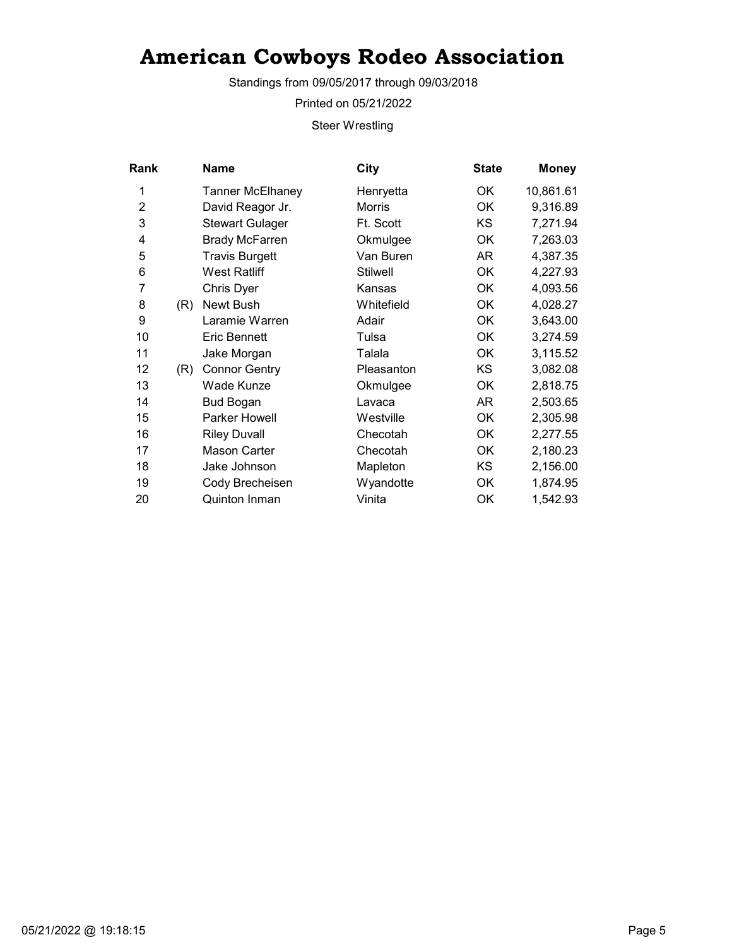Standings from 09/05/2017 through 09/03/2018

Printed on 05/21/2022

Steer Wrestling

| <b>Rank</b>    |     | Name                    | City            | <b>State</b> | <b>Money</b> |
|----------------|-----|-------------------------|-----------------|--------------|--------------|
| 1              |     | <b>Tanner McElhaney</b> | Henryetta       | OK.          | 10,861.61    |
| $\overline{2}$ |     | David Reagor Jr.        | <b>Morris</b>   | OK           | 9,316.89     |
| 3              |     | <b>Stewart Gulager</b>  | Ft. Scott       | KS.          | 7,271.94     |
| 4              |     | <b>Brady McFarren</b>   | Okmulgee        | <b>OK</b>    | 7,263.03     |
| 5              |     | <b>Travis Burgett</b>   | Van Buren       | AR           | 4,387.35     |
| 6              |     | <b>West Ratliff</b>     | <b>Stilwell</b> | <b>OK</b>    | 4,227.93     |
| 7              |     | Chris Dyer              | Kansas          | OK           | 4,093.56     |
| 8              | (R) | Newt Bush               | Whitefield      | OK           | 4,028.27     |
| 9              |     | Laramie Warren          | Adair           | <b>OK</b>    | 3,643.00     |
| 10             |     | <b>Eric Bennett</b>     | Tulsa           | OK           | 3,274.59     |
| 11             |     | Jake Morgan             | Talala          | ОK           | 3,115.52     |
| 12             | (R) | <b>Connor Gentry</b>    | Pleasanton      | <b>KS</b>    | 3,082.08     |
| 13             |     | Wade Kunze              | Okmulgee        | ОK           | 2,818.75     |
| 14             |     | <b>Bud Bogan</b>        | Lavaca          | AR           | 2,503.65     |
| 15             |     | <b>Parker Howell</b>    | Westville       | OK           | 2,305.98     |
| 16             |     | <b>Riley Duvall</b>     | Checotah        | ОK           | 2,277.55     |
| 17             |     | Mason Carter            | Checotah        | <b>OK</b>    | 2,180.23     |
| 18             |     | Jake Johnson            | Mapleton        | KS           | 2,156.00     |
| 19             |     | Cody Brecheisen         | Wyandotte       | OK           | 1,874.95     |
| 20             |     | <b>Quinton Inman</b>    | Vinita          | ОK           | 1,542.93     |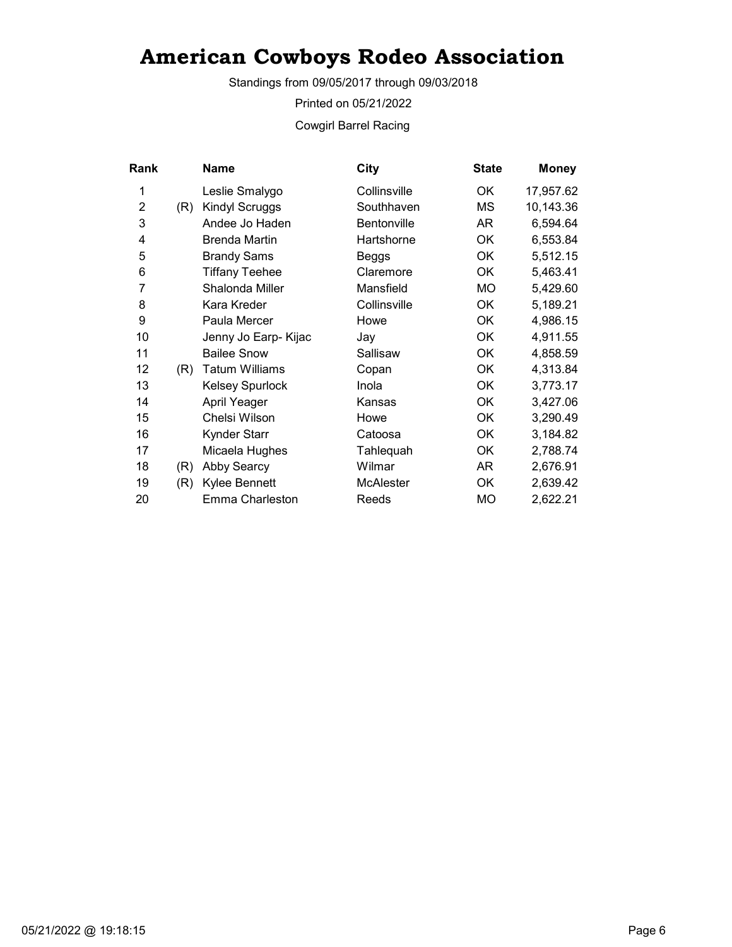Standings from 09/05/2017 through 09/03/2018

Printed on 05/21/2022

Cowgirl Barrel Racing

| <b>Rank</b>    |     | Name                   | City               | <b>State</b> | <b>Money</b> |
|----------------|-----|------------------------|--------------------|--------------|--------------|
| 1              |     | Leslie Smalygo         | Collinsville       | OK.          | 17,957.62    |
| $\overline{2}$ | (R) | Kindyl Scruggs         | Southhaven         | МS           | 10,143.36    |
| 3              |     | Andee Jo Haden         | <b>Bentonville</b> | AR           | 6,594.64     |
| 4              |     | <b>Brenda Martin</b>   | Hartshorne         | ОK           | 6,553.84     |
| 5              |     | <b>Brandy Sams</b>     | Beggs              | OK           | 5,512.15     |
| 6              |     | <b>Tiffany Teehee</b>  | Claremore          | <b>OK</b>    | 5,463.41     |
| 7              |     | Shalonda Miller        | Mansfield          | MO           | 5,429.60     |
| 8              |     | Kara Kreder            | Collinsville       | <b>OK</b>    | 5,189.21     |
| 9              |     | Paula Mercer           | Howe               | OK           | 4,986.15     |
| 10             |     | Jenny Jo Earp- Kijac   | Jay                | <b>OK</b>    | 4,911.55     |
| 11             |     | <b>Bailee Snow</b>     | Sallisaw           | OK           | 4,858.59     |
| 12             | (R) | <b>Tatum Williams</b>  | Copan              | OK           | 4,313.84     |
| 13             |     | <b>Kelsey Spurlock</b> | Inola              | ОK           | 3,773.17     |
| 14             |     | April Yeager           | Kansas             | <b>OK</b>    | 3,427.06     |
| 15             |     | Chelsi Wilson          | Howe               | ОK           | 3,290.49     |
| 16             |     | Kynder Starr           | Catoosa            | ОK           | 3,184.82     |
| 17             |     | Micaela Hughes         | Tahlequah          | ОK           | 2,788.74     |
| 18             | (R) | <b>Abby Searcy</b>     | Wilmar             | AR           | 2,676.91     |
| 19             | (R) | Kylee Bennett          | McAlester          | OK           | 2,639.42     |
| 20             |     | Emma Charleston        | Reeds              | МO           | 2,622.21     |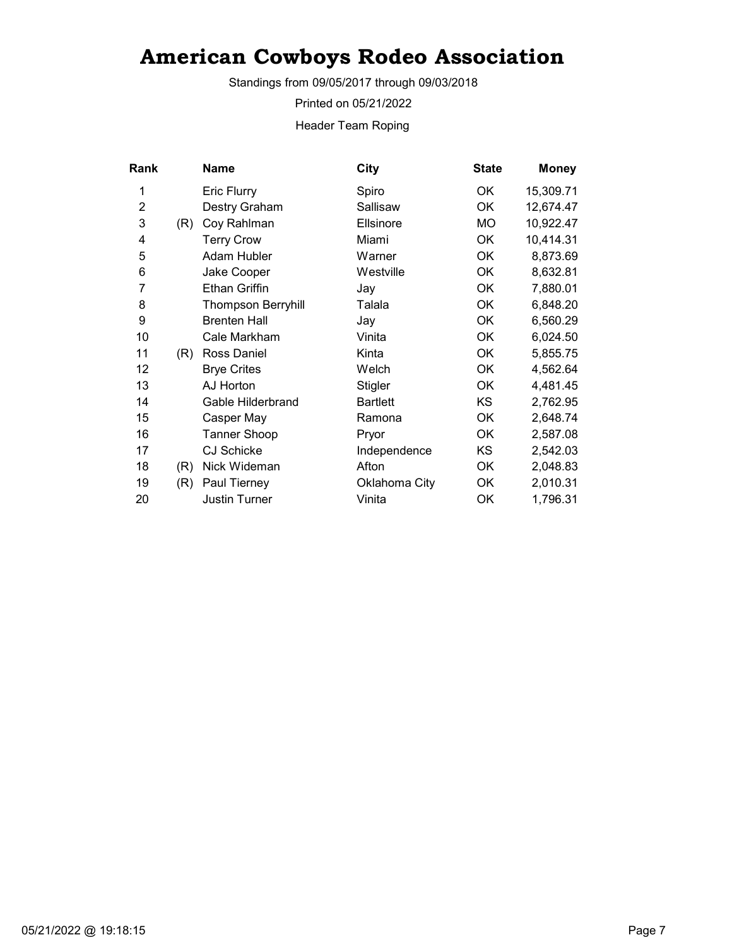Standings from 09/05/2017 through 09/03/2018

Printed on 05/21/2022

Header Team Roping

| Rank           |     | <b>Name</b>               | City            | <b>State</b> | <b>Money</b> |
|----------------|-----|---------------------------|-----------------|--------------|--------------|
| 1              |     | <b>Eric Flurry</b>        | Spiro           | 0K           | 15,309.71    |
| $\overline{2}$ |     | Destry Graham             | Sallisaw        | <b>OK</b>    | 12,674.47    |
| 3              | (R) | Coy Rahlman               | Ellsinore       | МO           | 10,922.47    |
| 4              |     | <b>Terry Crow</b>         | Miami           | OK           | 10,414.31    |
| 5              |     | Adam Hubler               | Warner          | OK           | 8,873.69     |
| 6              |     | Jake Cooper               | Westville       | <b>OK</b>    | 8,632.81     |
| 7              |     | <b>Ethan Griffin</b>      | Jay             | OK           | 7,880.01     |
| 8              |     | <b>Thompson Berryhill</b> | Talala          | ОK           | 6,848.20     |
| 9              |     | <b>Brenten Hall</b>       | Jay             | <b>OK</b>    | 6,560.29     |
| 10             |     | Cale Markham              | Vinita          | OK           | 6,024.50     |
| 11             | (R) | Ross Daniel               | Kinta           | OK           | 5,855.75     |
| 12             |     | <b>Brye Crites</b>        | Welch           | OK           | 4,562.64     |
| 13             |     | AJ Horton                 | <b>Stigler</b>  | OK           | 4,481.45     |
| 14             |     | Gable Hilderbrand         | <b>Bartlett</b> | <b>KS</b>    | 2,762.95     |
| 15             |     | Casper May                | Ramona          | OK           | 2,648.74     |
| 16             |     | Tanner Shoop              | Pryor           | ОK           | 2,587.08     |
| 17             |     | <b>CJ Schicke</b>         | Independence    | KS           | 2,542.03     |
| 18             | (R) | Nick Wideman              | Afton           | OK           | 2,048.83     |
| 19             | (R) | Paul Tierney              | Oklahoma City   | OK           | 2,010.31     |
| 20             |     | <b>Justin Turner</b>      | Vinita          | ОK           | 1,796.31     |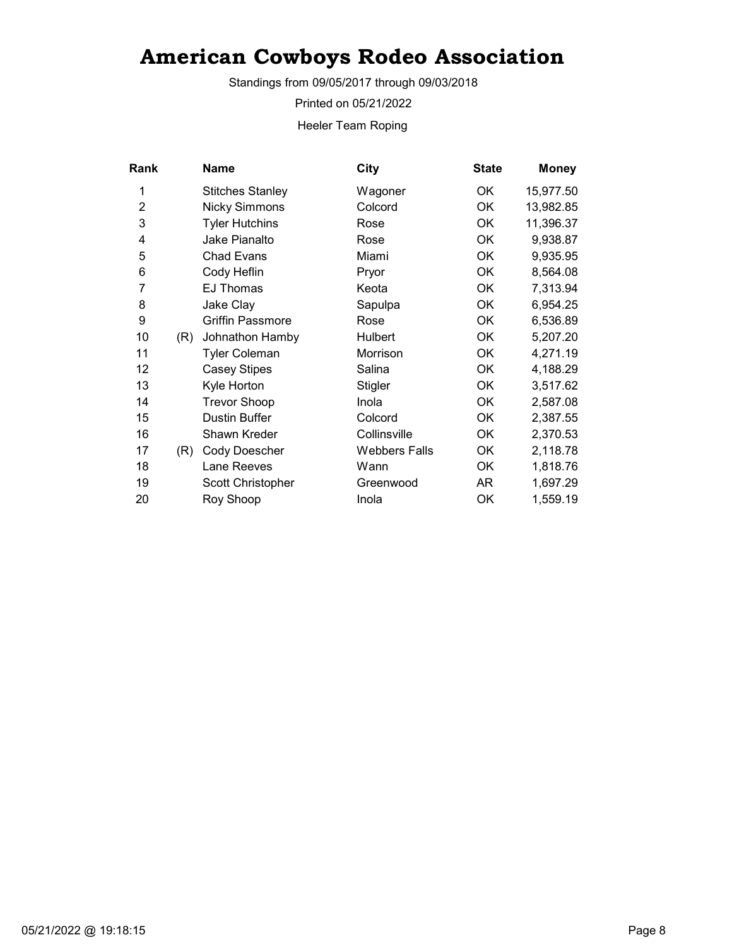Standings from 09/05/2017 through 09/03/2018

Printed on 05/21/2022

Heeler Team Roping

| <b>Rank</b>    |     | <b>Name</b>             | City                 | <b>State</b> | <b>Money</b> |
|----------------|-----|-------------------------|----------------------|--------------|--------------|
| 1              |     | <b>Stitches Stanley</b> | Wagoner              | ОK           | 15,977.50    |
| $\overline{2}$ |     | <b>Nicky Simmons</b>    | Colcord              | <b>OK</b>    | 13,982.85    |
| 3              |     | <b>Tyler Hutchins</b>   | Rose                 | OK           | 11,396.37    |
| 4              |     | Jake Pianalto           | Rose                 | ОK           | 9,938.87     |
| 5              |     | <b>Chad Evans</b>       | Miami                | <b>OK</b>    | 9,935.95     |
| 6              |     | Cody Heflin             | Pryor                | OK           | 8,564.08     |
| 7              |     | <b>EJ Thomas</b>        | Keota                | OK           | 7,313.94     |
| 8              |     | Jake Clay               | Sapulpa              | <b>OK</b>    | 6,954.25     |
| 9              |     | <b>Griffin Passmore</b> | Rose                 | ОK           | 6,536.89     |
| 10             | (R) | Johnathon Hamby         | Hulbert              | <b>OK</b>    | 5,207.20     |
| 11             |     | <b>Tyler Coleman</b>    | Morrison             | OK           | 4,271.19     |
| 12             |     | <b>Casey Stipes</b>     | Salina               | OK           | 4,188.29     |
| 13             |     | Kyle Horton             | <b>Stigler</b>       | OK           | 3,517.62     |
| 14             |     | <b>Trevor Shoop</b>     | Inola                | OK           | 2,587.08     |
| 15             |     | Dustin Buffer           | Colcord              | OK           | 2,387.55     |
| 16             |     | Shawn Kreder            | Collinsville         | ОK           | 2,370.53     |
| 17             | (R) | Cody Doescher           | <b>Webbers Falls</b> | <b>OK</b>    | 2,118.78     |
| 18             |     | Lane Reeves             | Wann                 | OK           | 1,818.76     |
| 19             |     | Scott Christopher       | Greenwood            | AR           | 1,697.29     |
| 20             |     | Roy Shoop               | Inola                | OK           | 1,559.19     |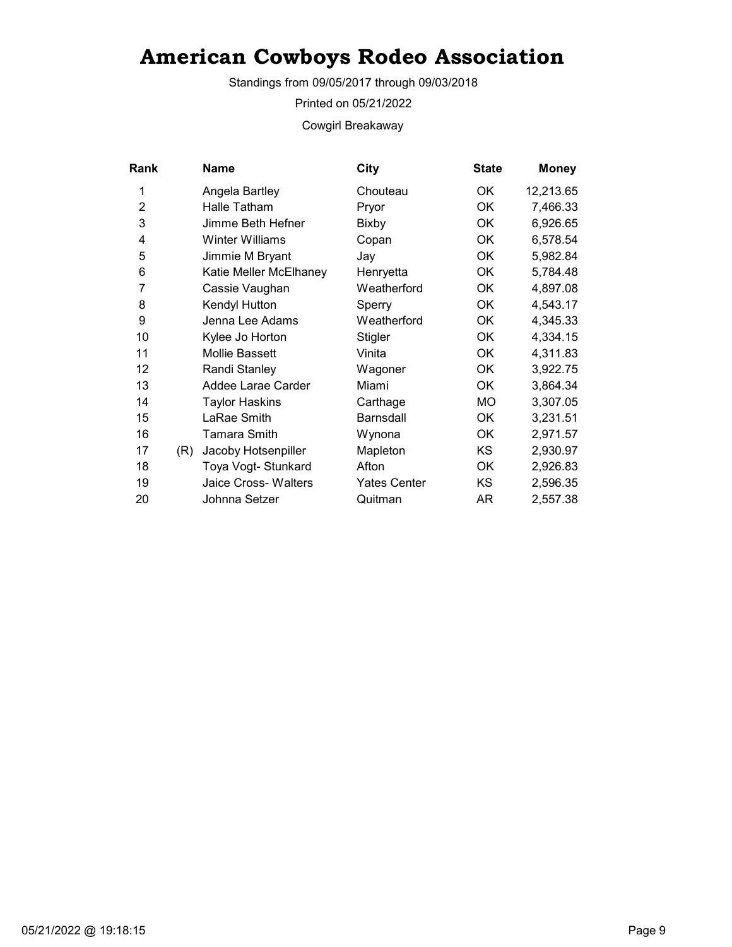Standings from 09/05/2017 through 09/03/2018

Printed on 05/21/2022

Cowgirl Breakaway

| Rank           |     | Name                   | City                | <b>State</b> | <b>Money</b> |
|----------------|-----|------------------------|---------------------|--------------|--------------|
| 1              |     | Angela Bartley         | Chouteau            | OK.          | 12,213.65    |
| $\overline{2}$ |     | Halle Tatham           | Pryor               | OK           | 7,466.33     |
| 3              |     | Jimme Beth Hefner      | Bixby               | 0K           | 6,926.65     |
| 4              |     | Winter Williams        | Copan               | OK           | 6,578.54     |
| 5              |     | Jimmie M Bryant        | Jay                 | OK           | 5,982.84     |
| 6              |     | Katie Meller McElhaney | Henryetta           | OK           | 5,784.48     |
| 7              |     | Cassie Vaughan         | Weatherford         | OK           | 4,897.08     |
| 8              |     | Kendyl Hutton          | Sperry              | ОK           | 4,543.17     |
| 9              |     | Jenna Lee Adams        | Weatherford         | OK           | 4,345.33     |
| 10             |     | Kylee Jo Horton        | Stigler             | OK           | 4,334.15     |
| 11             |     | <b>Mollie Bassett</b>  | Vinita              | 0K           | 4,311.83     |
| 12             |     | Randi Stanley          | Wagoner             | 0K           | 3,922.75     |
| 13             |     | Addee Larae Carder     | Miami               | OK           | 3,864.34     |
| 14             |     | <b>Taylor Haskins</b>  | Carthage            | МO           | 3,307.05     |
| 15             |     | LaRae Smith            | <b>Barnsdall</b>    | OK           | 3,231.51     |
| 16             |     | Tamara Smith           | Wynona              | 0K           | 2,971.57     |
| 17             | (R) | Jacoby Hotsenpiller    | Mapleton            | KS           | 2,930.97     |
| 18             |     | Toya Vogt- Stunkard    | Afton               | 0K           | 2,926.83     |
| 19             |     | Jaice Cross- Walters   | <b>Yates Center</b> | KS           | 2,596.35     |
| 20             |     | Johnna Setzer          | Quitman             | AR           | 2,557.38     |